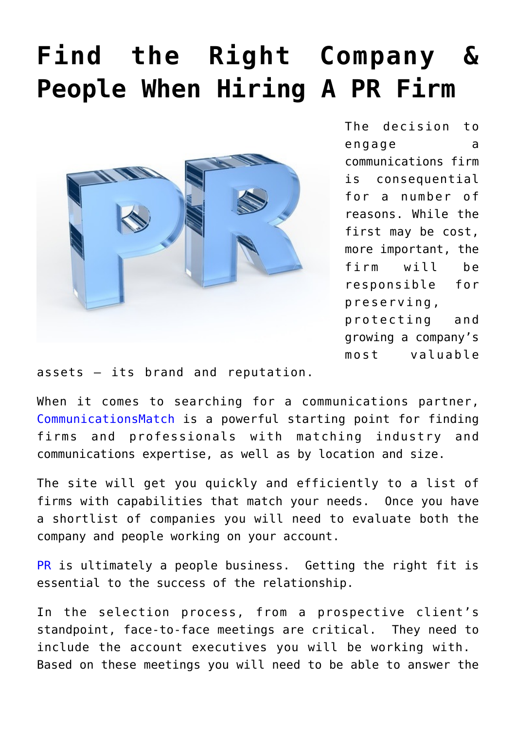## **[Find the Right Company &](https://www.commpro.biz/find-the-right-company-people-when-hiring-a-pr-firm/) [People When Hiring A PR Firm](https://www.commpro.biz/find-the-right-company-people-when-hiring-a-pr-firm/)**



The decision to engage a communications firm is consequential for a number of reasons. While the first may be cost, more important, the firm will be responsible for preserving, protecting and growing a company's most valuable

assets – its brand and reputation.

When it comes to searching for a communications partner, [CommunicationsMatch](https://www.communicationsmatch.com) is a powerful starting point for finding firms and professionals with matching industry and communications expertise, as well as by location and size.

The site will get you quickly and efficiently to a list of firms with capabilities that match your needs. Once you have a shortlist of companies you will need to evaluate both the company and people working on your account.

[PR](https://www.commpro.biz/public-relations-section/) is ultimately a people business. Getting the right fit is essential to the success of the relationship.

In the selection process, from a prospective client's standpoint, face-to-face meetings are critical. They need to include the account executives you will be working with. Based on these meetings you will need to be able to answer the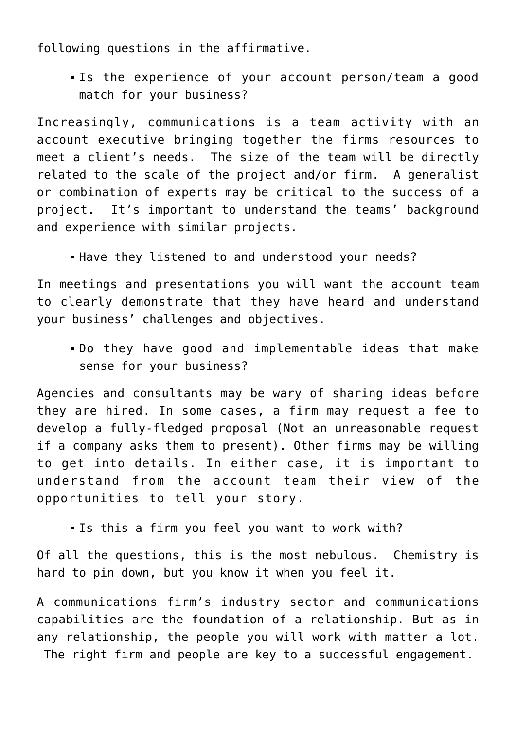following questions in the affirmative.

Is the experience of your account person/team a good match for your business?

Increasingly, communications is a team activity with an account executive bringing together the firms resources to meet a client's needs. The size of the team will be directly related to the scale of the project and/or firm. A generalist or combination of experts may be critical to the success of a project. It's important to understand the teams' background and experience with similar projects.

Have they listened to and understood your needs?

In meetings and presentations you will want the account team to clearly demonstrate that they have heard and understand your business' challenges and objectives.

Do they have good and implementable ideas that make sense for your business?

Agencies and consultants may be wary of sharing ideas before they are hired. In some cases, a firm may request a fee to develop a fully-fledged proposal (Not an unreasonable request if a company asks them to present). Other firms may be willing to get into details. In either case, it is important to understand from the account team their view of the opportunities to tell your story.

Is this a firm you feel you want to work with?

Of all the questions, this is the most nebulous. Chemistry is hard to pin down, but you know it when you feel it.

A communications firm's industry sector and communications capabilities are the foundation of a relationship. But as in any relationship, the people you will work with matter a lot. The right firm and people are key to a successful engagement.